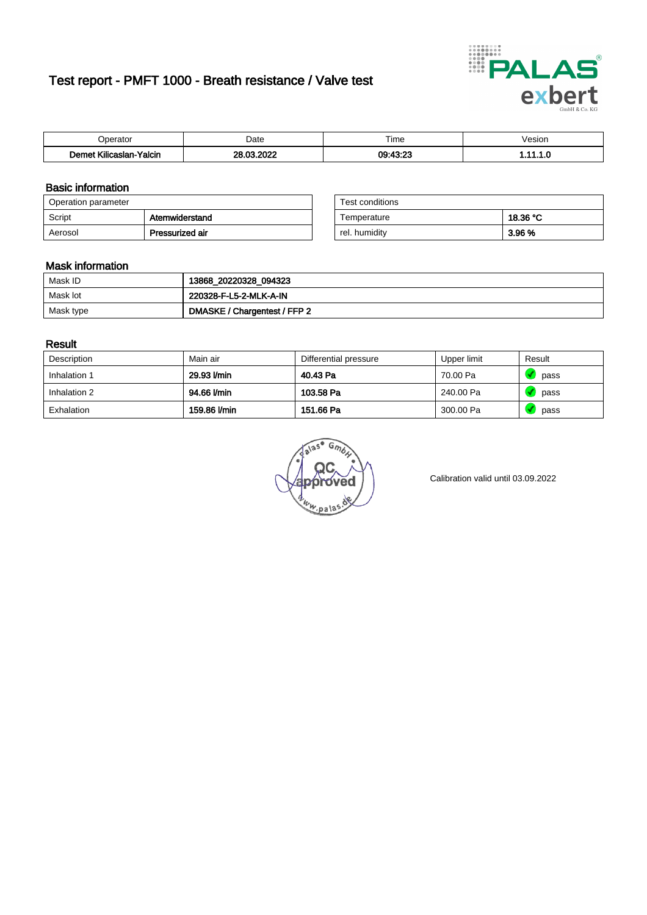# Test report - PMFT 1000 - Breath resistance / Valve test



| n                                                         | Date                 | $- \cdot$<br>l ime | esion/ |
|-----------------------------------------------------------|----------------------|--------------------|--------|
| -<br><b><i>LOW</i></b><br><b>Yalcin</b><br>aslan<br>Kilic | 000<br>ne.<br>$\sim$ | 00.49.22           | .      |

### Basic information

| Operation parameter |                 | Test conditions |          |
|---------------------|-----------------|-----------------|----------|
| Script              | Atemwiderstand  | Temperature     | 18.36 °C |
| Aerosol             | Pressurized air | rel. humidity   | 3.96 %   |

| Test conditions |          |
|-----------------|----------|
| Temperature     | 18.36 °C |
| rel. humidity   | 3.96 %   |

#### Mask information

| Mask ID   | 13868_20220328_094323        |
|-----------|------------------------------|
| Mask lot  | 220328-F-L5-2-MLK-A-IN       |
| Mask type | DMASKE / Chargentest / FFP 2 |

### Result

| Description  | Main air     | Differential pressure | Upper limit | Result |
|--------------|--------------|-----------------------|-------------|--------|
| Inhalation 1 | 29.93 l/min  | 40.43 Pa              | 70.00 Pa    | pass   |
| Inhalation 2 | 94.66 l/min  | 103.58 Pa             | 240.00 Pa   | pass   |
| Exhalation   | 159.86 l/min | 151.66 Pa             | 300.00 Pa   | pass   |

 $u_{\mu,pal}$ 

Calibration valid until 03.09.2022